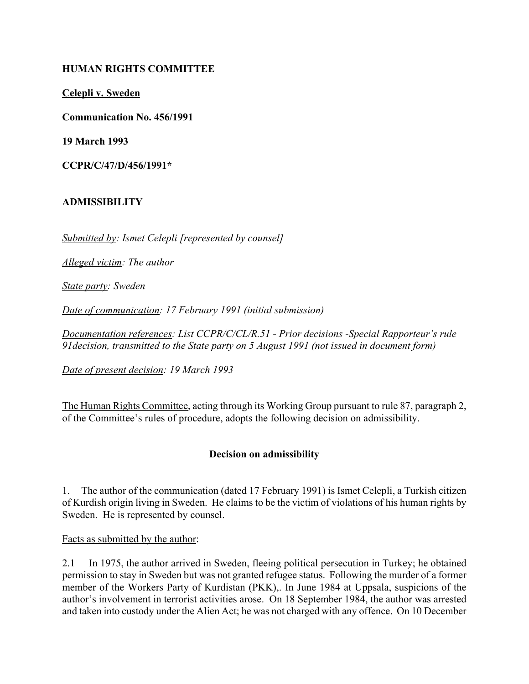### **HUMAN RIGHTS COMMITTEE**

**Celepli v. Sweden**

**Communication No. 456/1991**

**19 March 1993**

**CCPR/C/47/D/456/1991\***

#### **ADMISSIBILITY**

*Submitted by: Ismet Celepli [represented by counsel]*

*Alleged victim: The author*

*State party: Sweden*

*Date of communication: 17 February 1991 (initial submission)*

*Documentation references: List CCPR/C/CL/R.51 - Prior decisions -Special Rapporteur's rule 91decision, transmitted to the State party on 5 August 1991 (not issued in document form)*

*Date of present decision: 19 March 1993*

The Human Rights Committee, acting through its Working Group pursuant to rule 87, paragraph 2, of the Committee's rules of procedure, adopts the following decision on admissibility.

### **Decision on admissibility**

1. The author of the communication (dated 17 February 1991) is Ismet Celepli, a Turkish citizen of Kurdish origin living in Sweden. He claims to be the victim of violations of his human rights by Sweden. He is represented by counsel.

Facts as submitted by the author:

2.1 In 1975, the author arrived in Sweden, fleeing political persecution in Turkey; he obtained permission to stay in Sweden but was not granted refugee status. Following the murder of a former member of the Workers Party of Kurdistan (PKK),. In June 1984 at Uppsala, suspicions of the author's involvement in terrorist activities arose. On 18 September 1984, the author was arrested and taken into custody under the Alien Act; he was not charged with any offence. On 10 December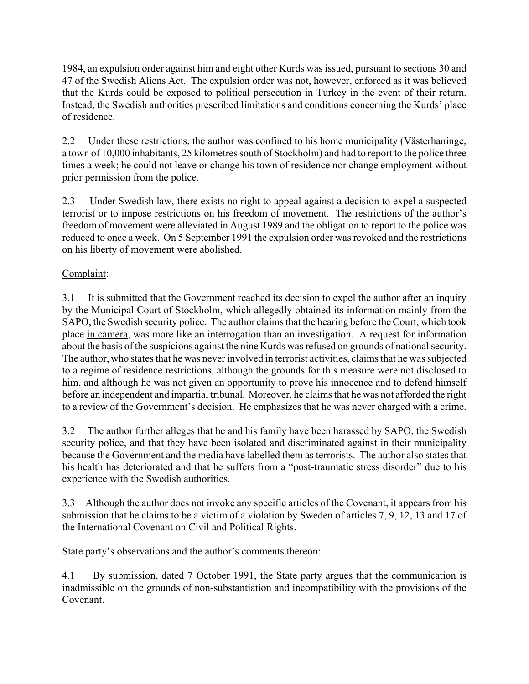1984, an expulsion order against him and eight other Kurds was issued, pursuant to sections 30 and 47 of the Swedish Aliens Act. The expulsion order was not, however, enforced as it was believed that the Kurds could be exposed to political persecution in Turkey in the event of their return. Instead, the Swedish authorities prescribed limitations and conditions concerning the Kurds' place of residence.

2.2 Under these restrictions, the author was confined to his home municipality (Västerhaninge, a town of 10,000 inhabitants, 25 kilometres south of Stockholm) and had to report to the police three times a week; he could not leave or change his town of residence nor change employment without prior permission from the police.

2.3 Under Swedish law, there exists no right to appeal against a decision to expel a suspected terrorist or to impose restrictions on his freedom of movement. The restrictions of the author's freedom of movement were alleviated in August 1989 and the obligation to report to the police was reduced to once a week. On 5 September 1991 the expulsion order was revoked and the restrictions on his liberty of movement were abolished.

## Complaint:

3.1 It is submitted that the Government reached its decision to expel the author after an inquiry by the Municipal Court of Stockholm, which allegedly obtained its information mainly from the SAPO, the Swedish security police. The author claims that the hearing before the Court, which took place in camera, was more like an interrogation than an investigation. A request for information about the basis of the suspicions against the nine Kurds was refused on grounds of national security. The author, who states that he was never involved in terrorist activities, claims that he was subjected to a regime of residence restrictions, although the grounds for this measure were not disclosed to him, and although he was not given an opportunity to prove his innocence and to defend himself before an independent and impartial tribunal. Moreover, he claims that he was not afforded the right to a review of the Government's decision. He emphasizes that he was never charged with a crime.

3.2 The author further alleges that he and his family have been harassed by SAPO, the Swedish security police, and that they have been isolated and discriminated against in their municipality because the Government and the media have labelled them as terrorists. The author also states that his health has deteriorated and that he suffers from a "post-traumatic stress disorder" due to his experience with the Swedish authorities.

3.3 Although the author does not invoke any specific articles of the Covenant, it appears from his submission that he claims to be a victim of a violation by Sweden of articles 7, 9, 12, 13 and 17 of the International Covenant on Civil and Political Rights.

### State party's observations and the author's comments thereon:

4.1 By submission, dated 7 October 1991, the State party argues that the communication is inadmissible on the grounds of non-substantiation and incompatibility with the provisions of the Covenant.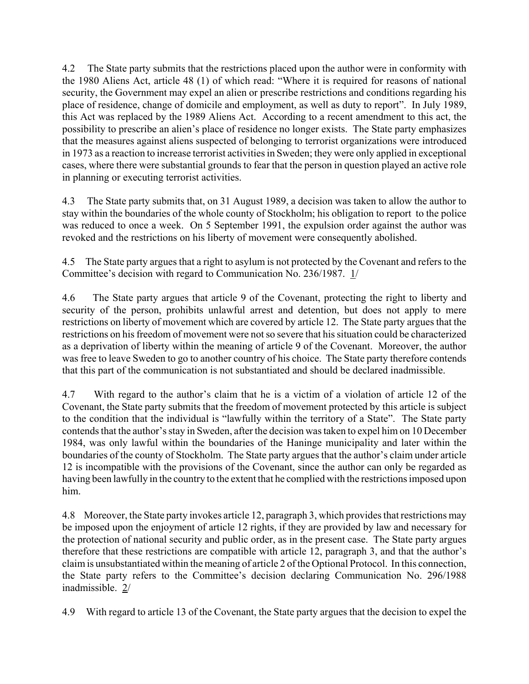4.2 The State party submits that the restrictions placed upon the author were in conformity with the 1980 Aliens Act, article  $48$  (1) of which read: "Where it is required for reasons of national security, the Government may expel an alien or prescribe restrictions and conditions regarding his place of residence, change of domicile and employment, as well as duty to report". In July 1989, this Act was replaced by the 1989 Aliens Act. According to a recent amendment to this act, the possibility to prescribe an alien's place of residence no longer exists. The State party emphasizes that the measures against aliens suspected of belonging to terrorist organizations were introduced in 1973 as a reaction to increase terrorist activities in Sweden; they were only applied in exceptional cases, where there were substantial grounds to fear that the person in question played an active role in planning or executing terrorist activities.

4.3 The State party submits that, on 31 August 1989, a decision was taken to allow the author to stay within the boundaries of the whole county of Stockholm; his obligation to report to the police was reduced to once a week. On 5 September 1991, the expulsion order against the author was revoked and the restrictions on his liberty of movement were consequently abolished.

4.5 The State party argues that a right to asylum is not protected by the Covenant and refers to the Committee's decision with regard to Communication No. 236/1987. 1/

4.6 The State party argues that article 9 of the Covenant, protecting the right to liberty and security of the person, prohibits unlawful arrest and detention, but does not apply to mere restrictions on liberty of movement which are covered by article 12. The State party argues that the restrictions on his freedom of movement were not so severe that his situation could be characterized as a deprivation of liberty within the meaning of article 9 of the Covenant. Moreover, the author was free to leave Sweden to go to another country of his choice. The State party therefore contends that this part of the communication is not substantiated and should be declared inadmissible.

4.7 With regard to the author's claim that he is a victim of a violation of article 12 of the Covenant, the State party submits that the freedom of movement protected by this article is subject to the condition that the individual is "lawfully within the territory of a State". The State party contends that the author's stay in Sweden, after the decision was taken to expel him on 10 December 1984, was only lawful within the boundaries of the Haninge municipality and later within the boundaries of the county of Stockholm. The State party argues that the author's claim under article 12 is incompatible with the provisions of the Covenant, since the author can only be regarded as having been lawfully in the country to the extent that he complied with the restrictions imposed upon him.

4.8 Moreover, the State party invokes article 12, paragraph 3, which provides that restrictions may be imposed upon the enjoyment of article 12 rights, if they are provided by law and necessary for the protection of national security and public order, as in the present case. The State party argues therefore that these restrictions are compatible with article 12, paragraph 3, and that the author's claim is unsubstantiated within the meaning of article 2 of the Optional Protocol. In this connection, the State party refers to the Committee's decision declaring Communication No. 296/1988 inadmissible. 2/

4.9 With regard to article 13 of the Covenant, the State party argues that the decision to expel the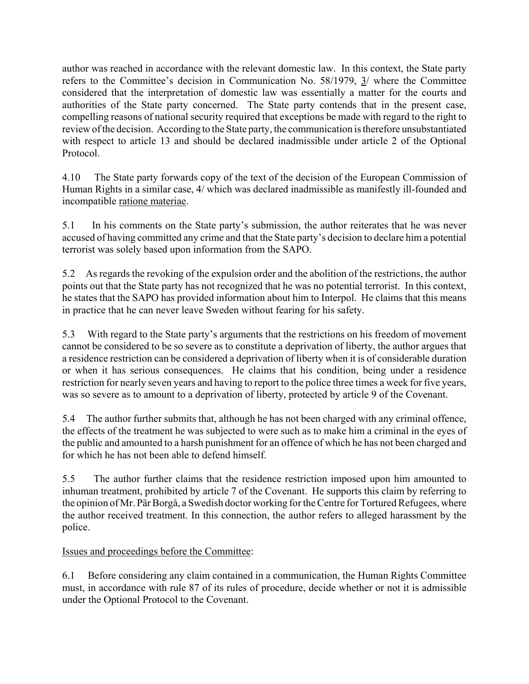author was reached in accordance with the relevant domestic law. In this context, the State party refers to the Committee's decision in Communication No. 58/1979,  $\frac{3}{2}$  where the Committee considered that the interpretation of domestic law was essentially a matter for the courts and authorities of the State party concerned. The State party contends that in the present case, compelling reasons of national security required that exceptions be made with regard to the right to review of the decision. According to the State party, the communication is therefore unsubstantiated with respect to article 13 and should be declared inadmissible under article 2 of the Optional Protocol.

4.10 The State party forwards copy of the text of the decision of the European Commission of Human Rights in a similar case, 4/ which was declared inadmissible as manifestly ill-founded and incompatible ratione materiae.

5.1 In his comments on the State partyís submission, the author reiterates that he was never accused of having committed any crime and that the State party's decision to declare him a potential terrorist was solely based upon information from the SAPO.

5.2 As regards the revoking of the expulsion order and the abolition of the restrictions, the author points out that the State party has not recognized that he was no potential terrorist. In this context, he states that the SAPO has provided information about him to Interpol. He claims that this means in practice that he can never leave Sweden without fearing for his safety.

5.3 With regard to the State party's arguments that the restrictions on his freedom of movement cannot be considered to be so severe as to constitute a deprivation of liberty, the author argues that a residence restriction can be considered a deprivation of liberty when it is of considerable duration or when it has serious consequences. He claims that his condition, being under a residence restriction for nearly seven years and having to report to the police three times a week for five years, was so severe as to amount to a deprivation of liberty, protected by article 9 of the Covenant.

5.4 The author further submits that, although he has not been charged with any criminal offence, the effects of the treatment he was subjected to were such as to make him a criminal in the eyes of the public and amounted to a harsh punishment for an offence of which he has not been charged and for which he has not been able to defend himself.

5.5 The author further claims that the residence restriction imposed upon him amounted to inhuman treatment, prohibited by article 7 of the Covenant. He supports this claim by referring to the opinion of Mr. Pär Borgå, a Swedish doctor working for the Centre for Tortured Refugees, where the author received treatment. In this connection, the author refers to alleged harassment by the police.

# Issues and proceedings before the Committee:

6.1 Before considering any claim contained in a communication, the Human Rights Committee must, in accordance with rule 87 of its rules of procedure, decide whether or not it is admissible under the Optional Protocol to the Covenant.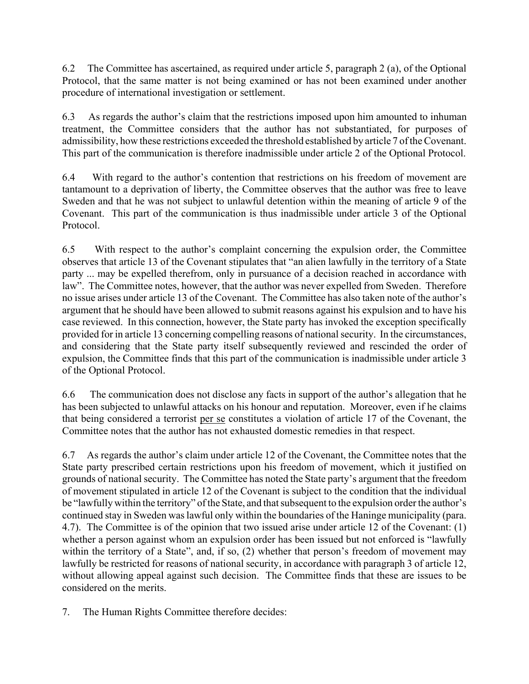6.2 The Committee has ascertained, as required under article 5, paragraph 2 (a), of the Optional Protocol, that the same matter is not being examined or has not been examined under another procedure of international investigation or settlement.

6.3 As regards the author's claim that the restrictions imposed upon him amounted to inhuman treatment, the Committee considers that the author has not substantiated, for purposes of admissibility, how these restrictions exceeded the threshold established by article 7 of the Covenant. This part of the communication is therefore inadmissible under article 2 of the Optional Protocol.

6.4 With regard to the author's contention that restrictions on his freedom of movement are tantamount to a deprivation of liberty, the Committee observes that the author was free to leave Sweden and that he was not subject to unlawful detention within the meaning of article 9 of the Covenant. This part of the communication is thus inadmissible under article 3 of the Optional Protocol.

6.5 With respect to the author's complaint concerning the expulsion order, the Committee observes that article 13 of the Covenant stipulates that "an alien lawfully in the territory of a State party ... may be expelled therefrom, only in pursuance of a decision reached in accordance with law". The Committee notes, however, that the author was never expelled from Sweden. Therefore no issue arises under article 13 of the Covenant. The Committee has also taken note of the author's argument that he should have been allowed to submit reasons against his expulsion and to have his case reviewed. In this connection, however, the State party has invoked the exception specifically provided for in article 13 concerning compelling reasons of national security. In the circumstances, and considering that the State party itself subsequently reviewed and rescinded the order of expulsion, the Committee finds that this part of the communication is inadmissible under article 3 of the Optional Protocol.

6.6 The communication does not disclose any facts in support of the author's allegation that he has been subjected to unlawful attacks on his honour and reputation. Moreover, even if he claims that being considered a terrorist per se constitutes a violation of article 17 of the Covenant, the Committee notes that the author has not exhausted domestic remedies in that respect.

6.7 As regards the author's claim under article 12 of the Covenant, the Committee notes that the State party prescribed certain restrictions upon his freedom of movement, which it justified on grounds of national security. The Committee has noted the State party's argument that the freedom of movement stipulated in article 12 of the Covenant is subject to the condition that the individual be "lawfully within the territory" of the State, and that subsequent to the expulsion order the author's continued stay in Sweden was lawful only within the boundaries of the Haninge municipality (para. 4.7). The Committee is of the opinion that two issued arise under article 12 of the Covenant: (1) whether a person against whom an expulsion order has been issued but not enforced is "lawfully" within the territory of a State", and, if so,  $(2)$  whether that person's freedom of movement may lawfully be restricted for reasons of national security, in accordance with paragraph 3 of article 12, without allowing appeal against such decision. The Committee finds that these are issues to be considered on the merits.

7. The Human Rights Committee therefore decides: